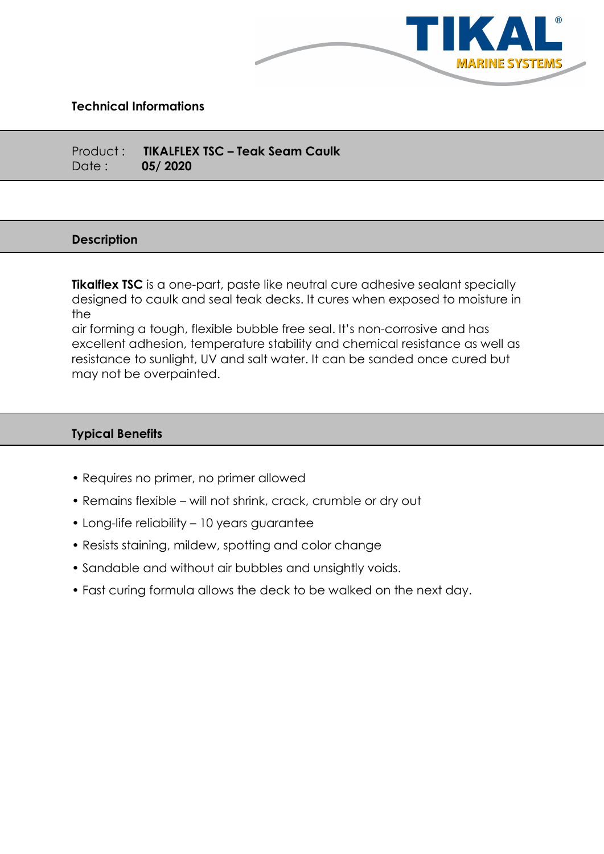

## Technical Informations

Product : TIKALFLEX TSC – Teak Seam Caulk Date : 05/ 2020

#### **Description**

**Tikalflex TSC** is a one-part, paste like neutral cure adhesive sealant specially designed to caulk and seal teak decks. It cures when exposed to moisture in the

air forming a tough, flexible bubble free seal. It's non-corrosive and has excellent adhesion, temperature stability and chemical resistance as well as resistance to sunlight, UV and salt water. It can be sanded once cured but may not be overpainted.

## Typical Benefits

- Requires no primer, no primer allowed
- Remains flexible will not shrink, crack, crumble or dry out
- Long-life reliability 10 years guarantee
- Resists staining, mildew, spotting and color change
- Sandable and without air bubbles and unsightly voids.
- Fast curing formula allows the deck to be walked on the next day.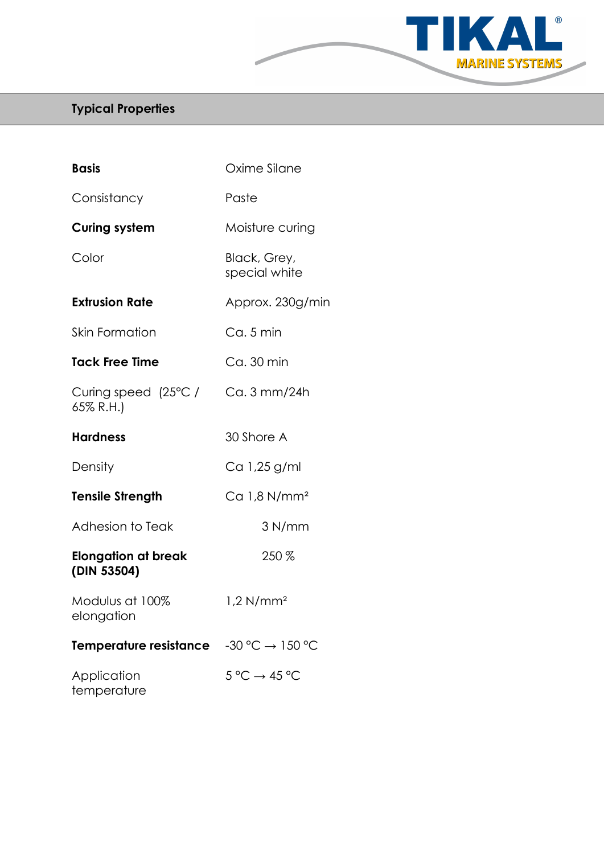

# Typical Properties

| <b>Basis</b>                              | Oxime Silane                         |
|-------------------------------------------|--------------------------------------|
| Consistancy                               | Paste                                |
| <b>Curing system</b>                      | Moisture curing                      |
| Color                                     | Black, Grey,<br>special white        |
| <b>Extrusion Rate</b>                     | Approx. 230g/min                     |
| <b>Skin Formation</b>                     | Ca. 5 min                            |
| <b>Tack Free Time</b>                     | Ca. 30 min                           |
| Curing speed (25°C /<br>65% R.H.)         | Ca. 3 mm/24h                         |
| <b>Hardness</b>                           | 30 Shore A                           |
| Density                                   | Ca 1,25 g/ml                         |
| <b>Tensile Strength</b>                   | $Ca$ 1,8 N/mm <sup>2</sup>           |
| Adhesion to Teak                          | 3 N/mm                               |
| <b>Elongation at break</b><br>(DIN 53504) | 250 %                                |
| Modulus at 100%<br>elongation             | $1,2$ N/mm <sup>2</sup>              |
| Temperature resistance                    | $-30 °C \rightarrow 150 °C$          |
| Application<br>temperature                | $5^{\circ}C \rightarrow 45^{\circ}C$ |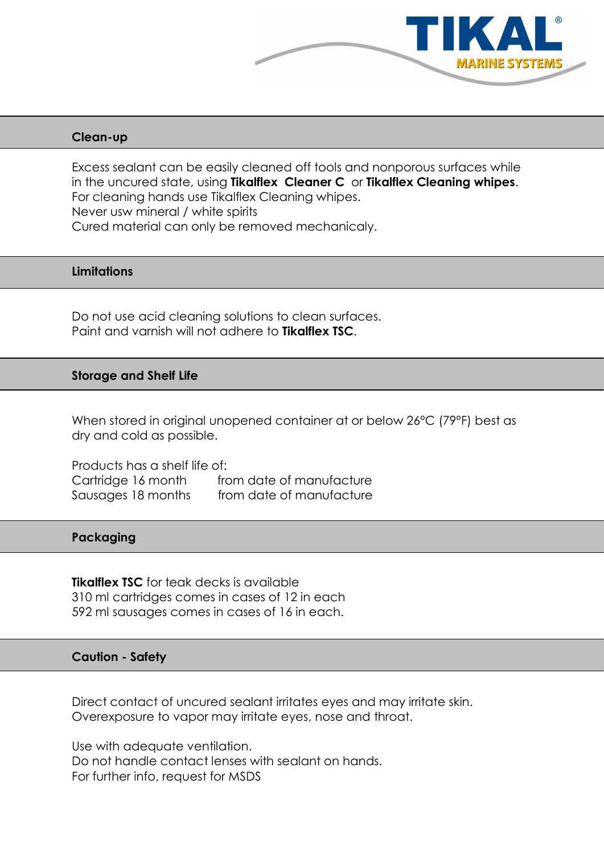

## Clean-up

Excess sealant can be easily cleaned off tools and nonporous surfaces while in the uncured state, using Tikalflex Cleaner C or Tikalflex Cleaning whipes. For cleaning hands use Tikalflex Cleaning whipes. Never usw mineral / white spirits Cured material can only be removed mechanicaly.

## **Limitations**

Do not use acid cleaning solutions to clean surfaces. Paint and varnish will not adhere to Tikalflex TSC.

## Storage and Shelf Life

When stored in original unopened container at or below 26°C (79°F) best as dry and cold as possible.

Products has a shelf life of: Cartridge 16 month from date of manufacture Sausages 18 months from date of manufacture

# Packaging

**Tikalflex TSC** for teak decks is available 310 ml cartridges comes in cases of 12 in each 592 ml sausages comes in cases of 16 in each.

## Caution - Safety

Direct contact of uncured sealant irritates eyes and may irritate skin. Overexposure to vapor may irritate eyes, nose and throat.

Use with adequate ventilation. Do not handle contact lenses with sealant on hands. For further info, request for MSDS